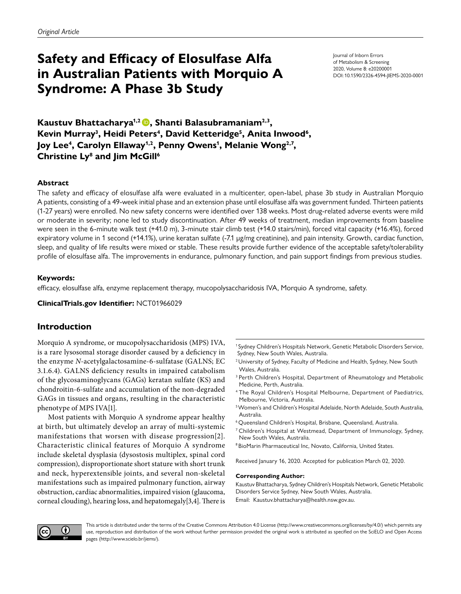# **Safety and Efficacy of Elosulfase Alfa in Australian Patients with Morquio A Syndrome: A Phase 3b Study**

Journal of Inborn Errors of Metabolism & Screening 2020, Volume 8: e20200001 DOI: [10.1590/2326-4594-JIEMS-2020-0001](http://10.1590/2326-4594-JIEMS-2020-0001)

**Kaustuv Bhattacharya1,2, Shanti Balasubramaniam2,3,** Kevin Murray<sup>3</sup>, Heidi Peters<sup>4</sup>, David Ketteridge<sup>5</sup>, Anita Inwood<sup>6</sup>, Joy Lee<sup>4</sup>, Carolyn Ellaway<sup>1,2</sup>, Penny Owens<sup>1</sup>, Melanie Wong<sup>2,7</sup>, **Christine Ly8 and Jim McGill6**

## **Abstract**

The safety and efficacy of elosulfase alfa were evaluated in a multicenter, open-label, phase 3b study in Australian Morquio A patients, consisting of a 49-week initial phase and an extension phase until elosulfase alfa was government funded. Thirteen patients (1-27 years) were enrolled. No new safety concerns were identified over 138 weeks. Most drug-related adverse events were mild or moderate in severity; none led to study discontinuation. After 49 weeks of treatment, median improvements from baseline were seen in the 6-minute walk test (+41.0 m), 3-minute stair climb test (+14.0 stairs/min), forced vital capacity (+16.4%), forced expiratory volume in 1 second (+14.1%), urine keratan sulfate (-7.1 µg/mg creatinine), and pain intensity. Growth, cardiac function, sleep, and quality of life results were mixed or stable. These results provide further evidence of the acceptable safety/tolerability profile of elosulfase alfa. The improvements in endurance, pulmonary function, and pain support findings from previous studies.

## **Keywords:**

efficacy, elosulfase alfa, enzyme replacement therapy, mucopolysaccharidosis IVA, Morquio A syndrome, safety.

**ClinicalTrials.gov Identifier:** [NCT01966029](https://clinicaltrials.gov/ct2/show/NCT01966029)

## **Introduction**

Morquio A syndrome, or mucopolysaccharidosis (MPS) IVA, is a rare lysosomal storage disorder caused by a deficiency in the enzyme *N*-acetylgalactosamine-6-sulfatase (GALNS; EC 3.1.6.4). GALNS deficiency results in impaired catabolism of the glycosaminoglycans (GAGs) keratan sulfate (KS) and chondroitin-6-sulfate and accumulation of the non-degraded GAGs in tissues and organs, resulting in the characteristic phenotype of MPS IVA[\[1](#page-7-0)].

Most patients with Morquio A syndrome appear healthy at birth, but ultimately develop an array of multi-systemic manifestations that worsen with disease progression[\[2](#page-7-1)]. Characteristic clinical features of Morquio A syndrome include skeletal dysplasia (dysostosis multiplex, spinal cord compression), disproportionate short stature with short trunk and neck, hyperextensible joints, and several non-skeletal manifestations such as impaired pulmonary function, airway obstruction, cardiac abnormalities, impaired vision (glaucoma, corneal clouding), hearing loss, and hepatomegaly[\[3,](#page-7-2)[4](#page-7-3)]. There is

<sup>1</sup> Sydney Children's Hospitals Network, Genetic Metabolic Disorders Service, Sydney, New South Wales, Australia.

- <sup>2</sup> University of Sydney, Faculty of Medicine and Health, Sydney, New South Wales, Australia.
- <sup>3</sup> Perth Children's Hospital, Department of Rheumatology and Metabolic Medicine, Perth, Australia.
- <sup>4</sup> The Royal Children's Hospital Melbourne, Department of Paediatrics, Melbourne, Victoria, Australia.
- 5Women's and Children's Hospital Adelaide, North Adelaide, South Australia, Australia.
- <sup>6</sup> Queensland Children's Hospital, Brisbane, Queensland, Australia.
- <sup>7</sup> Children's Hospital at Westmead, Department of Immunology, Sydney, New South Wales, Australia.
- <sup>8</sup> BioMarin Pharmaceutical Inc, Novato, California, United States.

Received January 16, 2020. Accepted for publication March 02, 2020.

#### **Corresponding Author:**

Kaustuv Bhattacharya, Sydney Children's Hospitals Network, Genetic Metabolic Disorders Service Sydney, New South Wales, Australia. Email: Kaustuv.bhattacharya@health.nsw.gov.au.



This article is distributed under the terms of the Creative Commons Attribution 4.0 License [\(http://www.creativecommons.org/licenses/by/4.0/\)](http://www.creativecommons.org/licenses/by/4.0/) which permits any use, reproduction and distribution of the work without further permission provided the original work is attributed as specified on the SciELO and Open Access pages (<http://www.scielo.br/jiems/>).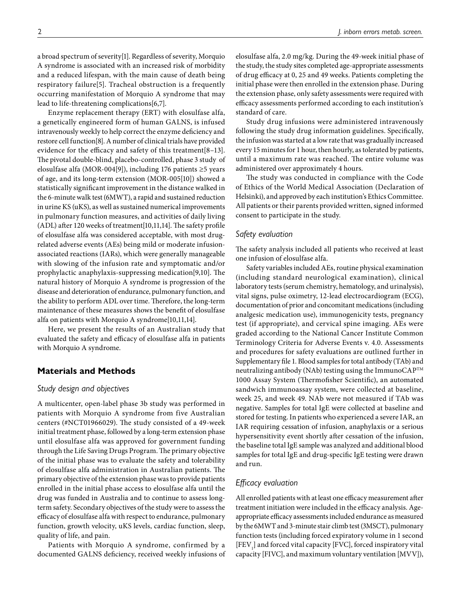a broad spectrum of severity[\[1\]](#page-7-0). Regardless of severity, Morquio A syndrome is associated with an increased risk of morbidity and a reduced lifespan, with the main cause of death being respiratory failure[\[5\]](#page-7-4). Tracheal obstruction is a frequently occurring manifestation of Morquio A syndrome that may lead to life-threatening complications[\[6](#page-7-5)[,7\]](#page-7-6).

Enzyme replacement therapy (ERT) with elosulfase alfa, a genetically engineered form of human GALNS, is infused intravenously weekly to help correct the enzyme deficiency and restore cell function[\[8](#page-7-7)]. A number of clinical trials have provided evidence for the efficacy and safety of this treatment[\[8](#page-7-7)[–13](#page-8-0)]. The pivotal double-blind, placebo-controlled, phase 3 study of elosulfase alfa (MOR-004[\[9\]](#page-7-8)), including 176 patients ≥5 years of age, and its long-term extension (MOR-005[\[10\]](#page-7-9)) showed a statistically significant improvement in the distance walked in the 6-minute walk test (6MWT), a rapid and sustained reduction in urine KS (uKS), as well as sustained numerical improvements in pulmonary function measures, and activities of daily living (ADL) after 120 weeks of treatment[\[10](#page-7-9),[11](#page-7-10)[,14](#page-8-1)]. The safety profile of elosulfase alfa was considered acceptable, with most drugrelated adverse events (AEs) being mild or moderate infusionassociated reactions (IARs), which were generally manageable with slowing of the infusion rate and symptomatic and/or prophylactic anaphylaxis-suppressing medication[\[9](#page-7-8)[,10](#page-7-9)]. The natural history of Morquio A syndrome is progression of the disease and deterioration of endurance, pulmonary function, and the ability to perform ADL over time. Therefore, the long-term maintenance of these measures shows the benefit of elosulfase alfa on patients with Morquio A syndrome[\[10](#page-7-9)[,11](#page-7-10)[,14\]](#page-8-1).

Here, we present the results of an Australian study that evaluated the safety and efficacy of elosulfase alfa in patients with Morquio A syndrome.

## **Materials and Methods**

## *Study design and objectives*

A multicenter, open-label phase 3b study was performed in patients with Morquio A syndrome from five Australian centers (#NCT01966029). The study consisted of a 49-week initial treatment phase, followed by a long-term extension phase until elosulfase alfa was approved for government funding through the Life Saving Drugs Program. The primary objective of the initial phase was to evaluate the safety and tolerability of elosulfase alfa administration in Australian patients. The primary objective of the extension phase was to provide patients enrolled in the initial phase access to elosulfase alfa until the drug was funded in Australia and to continue to assess long‐ term safety. Secondary objectives of the study were to assess the efficacy of elosulfase alfa with respect to endurance, pulmonary function, growth velocity, uKS levels, cardiac function, sleep, quality of life, and pain.

Patients with Morquio A syndrome, confirmed by a documented GALNS deficiency, received weekly infusions of elosulfase alfa, 2.0 mg/kg. During the 49-week initial phase of the study, the study sites completed age-appropriate assessments of drug efficacy at 0, 25 and 49 weeks. Patients completing the initial phase were then enrolled in the extension phase. During the extension phase, only safety assessments were required with efficacy assessments performed according to each institution's standard of care.

Study drug infusions were administered intravenously following the study drug information guidelines. Specifically, the infusion was started at a low rate that was gradually increased every 15 minutes for 1 hour, then hourly, as tolerated by patients, until a maximum rate was reached. The entire volume was administered over approximately 4 hours.

The study was conducted in compliance with the Code of Ethics of the World Medical Association (Declaration of Helsinki), and approved by each institution's Ethics Committee. All patients or their parents provided written, signed informed consent to participate in the study.

# *Safety evaluation*

The safety analysis included all patients who received at least one infusion of elosulfase alfa.

Safety variables included AEs, routine physical examination (including standard neurological examination), clinical laboratory tests (serum chemistry, hematology, and urinalysis), vital signs, pulse oximetry, 12-lead electrocardiogram (ECG), documentation of prior and concomitant medications (including analgesic medication use), immunogenicity tests, pregnancy test (if appropriate), and cervical spine imaging. AEs were graded according to the National Cancer Institute Common Terminology Criteria for Adverse Events v. 4.0. Assessments and procedures for safety evaluations are outlined further in [Supplementary file 1.](http://www.scielo.br/pdf/jiems/v8/2326-4594-jiems-8-e20200001-s1.pdf) Blood samples for total antibody (TAb) and neutralizing antibody (NAb) testing using the ImmunoCAPTM 1000 Assay System (Thermofisher Scientific), an automated sandwich immunoassay system, were collected at baseline, week 25, and week 49. NAb were not measured if TAb was negative. Samples for total IgE were collected at baseline and stored for testing. In patients who experienced a severe IAR, an IAR requiring cessation of infusion, anaphylaxis or a serious hypersensitivity event shortly after cessation of the infusion, the baseline total IgE sample was analyzed and additional blood samples for total IgE and drug-specific IgE testing were drawn and run.

## *Efficacy evaluation*

All enrolled patients with at least one efficacy measurement after treatment initiation were included in the efficacy analysis. Ageappropriate efficacy assessments included endurance as measured by the 6MWT and 3-minute stair climb test (3MSCT), pulmonary function tests (including forced expiratory volume in 1 second  ${\rm [FEV_{_1}]}$  and forced vital capacity [FVC], forced inspiratory vital capacity [FIVC], and maximum voluntary ventilation [MVV]),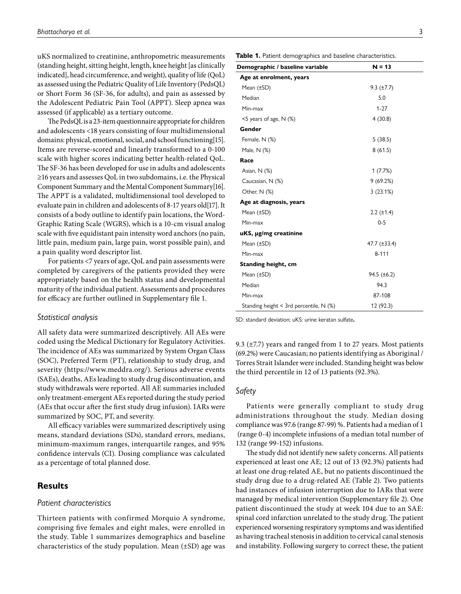uKS normalized to creatinine, anthropometric measurements (standing height, sitting height, length, knee height [as clinically indicated], head circumference, and weight), quality of life (QoL) as assessed using the Pediatric Quality of Life Inventory (PedsQL) or Short Form 36 (SF-36, for adults), and pain as assessed by the Adolescent Pediatric Pain Tool (APPT). Sleep apnea was assessed (if applicable) as a tertiary outcome.

The PedsQL is a 23-item questionnaire appropriate for children and adolescents <18 years consisting of four multidimensional domains: physical, emotional, social, and school functioning[\[15\]](#page-8-2). Items are reverse-scored and linearly transformed to a 0-100 scale with higher scores indicating better health-related QoL. The SF-36 has been developed for use in adults and adolescents ≥16 years and assesses QoL in two subdomains, i.e. the Physical Component Summary and the Mental Component Summary[\[16\]](#page-8-3). The APPT is a validated, multidimensional tool developed to evaluate pain in children and adolescents of 8-17 years old[\[17\]](#page-8-4). It consists of a body outline to identify pain locations, the Word-Graphic Rating Scale (WGRS), which is a 10-cm visual analog scale with five equidistant pain intensity word anchors (no pain, little pain, medium pain, large pain, worst possible pain), and a pain quality word descriptor list.

For patients <7 years of age, QoL and pain assessments were completed by caregivers of the patients provided they were appropriately based on the health status and developmental maturity of the individual patient. Assessments and procedures for efficacy are further outlined in [Supplementary file 1.](http://www.scielo.br/pdf/jiems/v8/2326-4594-jiems-8-e20200001-s1.pdf)

#### *Statistical analysis*

All safety data were summarized descriptively. All AEs were coded using the Medical Dictionary for Regulatory Activities. The incidence of AEs was summarized by System Organ Class (SOC), Preferred Term (PT), relationship to study drug, and severity (<https://www.meddra.org/>). Serious adverse events (SAEs), deaths, AEs leading to study drug discontinuation, and study withdrawals were reported. All AE summaries included only treatment-emergent AEs reported during the study period (AEs that occur after the first study drug infusion). IARs were summarized by SOC, PT, and severity.

All efficacy variables were summarized descriptively using means, standard deviations (SDs), standard errors, medians, minimum-maximum ranges, interquartile ranges, and 95% confidence intervals (CI). Dosing compliance was calculated as a percentage of total planned dose.

## **Results**

## *Patient characteristics*

Thirteen patients with confirmed Morquio A syndrome, comprising five females and eight males, were enrolled in the study. Table 1 summarizes demographics and baseline characteristics of the study population. Mean  $(\pm SD)$  age was Table 1. Patient demographics and baseline characteristics.

| Demographic / baseline variable           | $N = 13$            |  |
|-------------------------------------------|---------------------|--|
| Age at enrolment, years                   |                     |  |
| Mean (±SD)                                | $9.3$ ( $\pm 7.7$ ) |  |
| Median                                    | 5.0                 |  |
| Min-max                                   | $1 - 27$            |  |
| $<$ 5 years of age, N $(\%)$              | 4(30.8)             |  |
| Gender                                    |                     |  |
| Female, N (%)                             | 5(38.5)             |  |
| Male, N (%)                               | 8(61.5)             |  |
| Race                                      |                     |  |
| Asian, N (%)                              | 1(7.7%)             |  |
| Caucasian, N (%)                          | 9(69.2%)            |  |
| Other, $N$ (%)                            | 3(23.1%)            |  |
| Age at diagnosis, years                   |                     |  |
| Mean (±SD)                                | $2.2$ ( $\pm$ 1.4)  |  |
| Min-max                                   | $0 - 5$             |  |
| uKS, µg/mg creatinine                     |                     |  |
| Mean (±SD)                                | 47.7 (±33.4)        |  |
| Min-max                                   | $8 - 111$           |  |
| Standing height, cm                       |                     |  |
| Mean (±SD)                                | $94.5 (\pm 6.2)$    |  |
| Median                                    | 94.3                |  |
| Min-max                                   | 87-108              |  |
| Standing height < 3rd percentile, $N$ (%) | 12 (92.3)           |  |

SD: standard deviation; uKS: urine keratan sulfate**.**

9.3 ( $\pm$ 7.7) years and ranged from 1 to 27 years. Most patients (69.2%) were Caucasian; no patients identifying as Aboriginal / Torres Strait Islander were included. Standing height was below the third percentile in 12 of 13 patients (92.3%).

## *Safety*

Patients were generally compliant to study drug administrations throughout the study. Median dosing compliance was 97.6 (range 87-99) %. Patients had a median of 1 (range 0-4) incomplete infusions of a median total number of 132 (range 99-152) infusions.

The study did not identify new safety concerns. All patients experienced at least one AE; 12 out of 13 (92.3%) patients had at least one drug-related AE, but no patients discontinued the study drug due to a drug-related AE (Table 2). Two patients had instances of infusion interruption due to IARs that were managed by medical intervention ([Supplementary file 2\)](http://www.scielo.br/pdf/jiems/v8/2326-4594-jiems-8-e20200001-s2.pdf). One patient discontinued the study at week 104 due to an SAE: spinal cord infarction unrelated to the study drug. The patient experienced worsening respiratory symptoms and was identified as having tracheal stenosis in addition to cervical canal stenosis and instability. Following surgery to correct these, the patient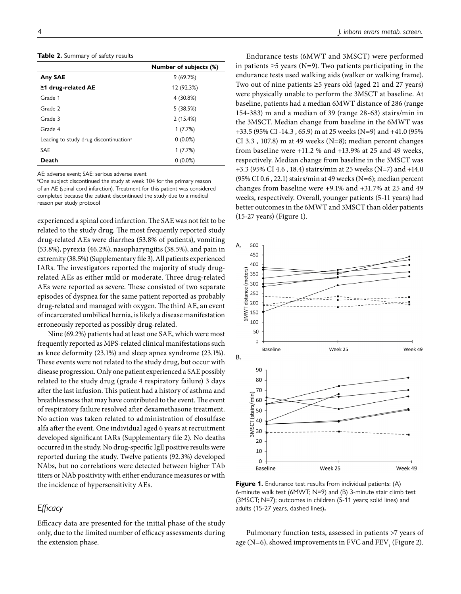**Table 2.** Summary of safety results

|                                                    | <b>Number of subjects (%)</b> |
|----------------------------------------------------|-------------------------------|
| <b>Any SAE</b>                                     | 9(69.2%)                      |
| $\geq$ 1 drug-related AE                           | 12 (92.3%)                    |
| Grade 1                                            | 4 (30.8%)                     |
| Grade 2                                            | 5(38.5%)                      |
| Grade 3                                            | 2(15.4%)                      |
| Grade 4                                            | 1(7.7%)                       |
| Leading to study drug discontinuation <sup>a</sup> | $0(0.0\%)$                    |
| <b>SAE</b>                                         | 1(7.7%)                       |
| Death                                              | $0(0.0\%)$                    |

AE: adverse event; SAE: serious adverse event

<sup>a</sup>One subject discontinued the study at week 104 for the primary reason of an AE (spinal cord infarction). Treatment for this patient was considered completed because the patient discontinued the study due to a medical reason per study protocol

experienced a spinal cord infarction. The SAE was not felt to be related to the study drug. The most frequently reported study drug-related AEs were diarrhea (53.8% of patients), vomiting (53.8%), pyrexia (46.2%), nasopharyngitis (38.5%), and pain in extremity (38.5%) [\(Supplementary file 3\)](http://www.scielo.br/pdf/jiems/v8/2326-4594-jiems-8-e20200001-s3.pdf). All patients experienced IARs. The investigators reported the majority of study drugrelated AEs as either mild or moderate. Three drug-related AEs were reported as severe. These consisted of two separate episodes of dyspnea for the same patient reported as probably drug-related and managed with oxygen. The third AE, an event of incarcerated umbilical hernia, is likely a disease manifestation erroneously reported as possibly drug-related.

Nine (69.2%) patients had at least one SAE, which were most frequently reported as MPS-related clinical manifestations such as knee deformity (23.1%) and sleep apnea syndrome (23.1%). These events were not related to the study drug, but occur with disease progression. Only one patient experienced a SAE possibly related to the study drug (grade 4 respiratory failure) 3 days after the last infusion. This patient had a history of asthma and breathlessness that may have contributed to the event. The event of respiratory failure resolved after dexamethasone treatment. No action was taken related to administration of elosulfase alfa after the event. One individual aged 6 years at recruitment developed significant IARs ([Supplementary file 2\)](http://www.scielo.br/pdf/jiems/v8/2326-4594-jiems-8-e20200001-s2.pdf). No deaths occurred in the study. No drug-specific IgE positive results were reported during the study. Twelve patients (92.3%) developed NAbs, but no correlations were detected between higher TAb titers or NAb positivity with either endurance measures or with the incidence of hypersensitivity AEs.

## *Efficacy*

Efficacy data are presented for the initial phase of the study only, due to the limited number of efficacy assessments during the extension phase.

Endurance tests (6MWT and 3MSCT) were performed in patients  $\geq$ 5 years (N=9). Two patients participating in the endurance tests used walking aids (walker or walking frame). Two out of nine patients  $\geq$ 5 years old (aged 21 and 27 years) were physically unable to perform the 3MSCT at baseline. At baseline, patients had a median 6MWT distance of 286 (range 154-383) m and a median of 39 (range 28-63) stairs/min in the 3MSCT. Median change from baseline in the 6MWT was +33.5 (95% CI -14.3 , 65.9) m at 25 weeks (N=9) and +41.0 (95% CI 3.3 , 107.8) m at 49 weeks (N=8); median percent changes from baseline were +11.2 % and +13.9% at 25 and 49 weeks, respectively. Median change from baseline in the 3MSCT was +3.3 (95% CI 4.6 , 18.4) stairs/min at 25 weeks (N=7) and +14.0 (95% CI 0.6, 22.1) stairs/min at 49 weeks (N=6); median percent changes from baseline were +9.1% and +31.7% at 25 and 49 weeks, respectively. Overall, younger patients (5-11 years) had better outcomes in the 6MWT and 3MSCT than older patients (15-27 years) (Figure 1).



**Figure 1.** Endurance test results from individual patients: (A) 6-minute walk test (6MWT; N=9) and (B) 3-minute stair climb test (3MSCT; N=7); outcomes in children (5-11 years; solid lines) and adults (15-27 years, dashed lines)**.**

Pulmonary function tests, assessed in patients >7 years of age (N=6), showed improvements in FVC and  $\mathrm{FEV}_1$  (Figure 2).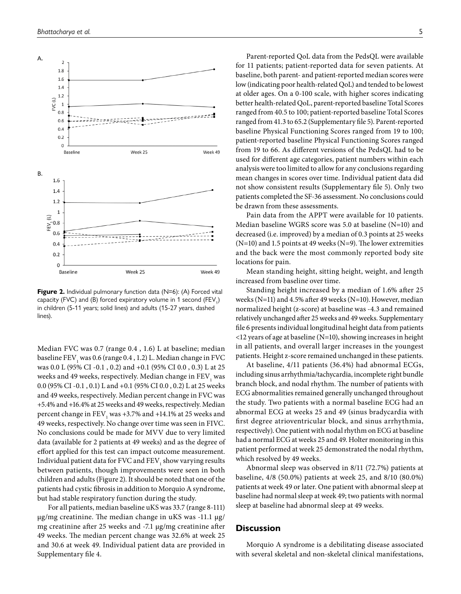

**Figure 2.** Individual pulmonary function data (N=6): (A) Forced vital capacity (FVC) and (B) forced expiratory volume in 1 second (FEV<sub>1</sub>) in children (5-11 years; solid lines) and adults (15-27 years, dashed lines)

Median FVC was 0.7 (range 0.4 , 1.6) L at baseline; median baseline  $\rm FEV_{_1}$  was 0.6 (range 0.4 , 1.2) L. Median change in FVC was 0.0 L (95% CI -0.1 , 0.2) and +0.1 (95% CI 0.0 , 0.3) L at 25 weeks and 49 weeks, respectively. Median change in  $\mathrm{FEV}_\textrm{i}$  was 0.0 (95% CI -0.1 , 0.1) L and +0.1 (95% CI 0.0 , 0.2) L at 25 weeks and 49 weeks, respectively. Median percent change in FVC was +5.4% and +16.4% at 25 weeks and 49 weeks, respectively. Median percent change in  $\rm{FEV}_1$  was +3.7% and +14.1% at 25 weeks and 49 weeks, respectively. No change over time was seen in FIVC. No conclusions could be made for MVV due to very limited data (available for 2 patients at 49 weeks) and as the degree of effort applied for this test can impact outcome measurement. Individual patient data for FVC and  $\mathrm{FEV}_\mathrm{1}$  show varying results between patients, though improvements were seen in both children and adults (Figure 2). It should be noted that one of the patients had cystic fibrosis in addition to Morquio A syndrome, but had stable respiratory function during the study.

For all patients, median baseline uKS was 33.7 (range 8-111) μg/mg creatinine. The median change in uKS was -11.1 µg/ mg creatinine after 25 weeks and -7.1 µg/mg creatinine after 49 weeks. The median percent change was 32.6% at week 25 and 30.6 at week 49. Individual patient data are provided in [Supplementary file 4.](http://www.scielo.br/pdf/jiems/v8/2326-4594-jiems-8-e20200001-s4.pdf)

Parent-reported QoL data from the PedsQL were available for 11 patients; patient-reported data for seven patients. At baseline, both parent- and patient-reported median scores were low (indicating poor health-related QoL) and tended to be lowest at older ages. On a 0-100 scale, with higher scores indicating better health-related QoL, parent-reported baseline Total Scores ranged from 40.5 to 100; patient-reported baseline Total Scores ranged from 41.3 to 65.2 [\(Supplementary file 5\)](http://www.scielo.br/pdf/jiems/v8/2326-4594-jiems-8-e20200001-s5.pdf). Parent-reported baseline Physical Functioning Scores ranged from 19 to 100; patient-reported baseline Physical Functioning Scores ranged from 19 to 66. As different versions of the PedsQL had to be used for different age categories, patient numbers within each analysis were too limited to allow for any conclusions regarding mean changes in scores over time. Individual patient data did not show consistent results [\(Supplementary file 5\)](http://www.scielo.br/pdf/jiems/v8/2326-4594-jiems-8-e20200001-s5.pdf). Only two patients completed the SF-36 assessment. No conclusions could be drawn from these assessments.

Pain data from the APPT were available for 10 patients. Median baseline WGRS score was 5.0 at baseline (N=10) and decreased (i.e. improved) by a median of 0.3 points at 25 weeks  $(N=10)$  and 1.5 points at 49 weeks  $(N=9)$ . The lower extremities and the back were the most commonly reported body site locations for pain.

Mean standing height, sitting height, weight, and length increased from baseline over time.

Standing height increased by a median of 1.6% after 25 weeks (N=11) and 4.5% after 49 weeks (N=10). However, median normalized height (z-score) at baseline was -4.3 and remained relatively unchanged after 25 weeks and 49 weeks. [Supplementary](http://www.scielo.br/pdf/jiems/v8/2326-4594-jiems-8-e20200001-s6.pdf)  [file 6 p](http://www.scielo.br/pdf/jiems/v8/2326-4594-jiems-8-e20200001-s6.pdf)resents individual longitudinal height data from patients <12 years of age at baseline (N=10), showing increases in height in all patients, and overall larger increases in the youngest patients. Height z-score remained unchanged in these patients.

At baseline, 4/11 patients (36.4%) had abnormal ECGs, including sinus arrhythmia/tachycardia, incomplete right bundle branch block, and nodal rhythm. The number of patients with ECG abnormalities remained generally unchanged throughout the study. Two patients with a normal baseline ECG had an abnormal ECG at weeks 25 and 49 (sinus bradycardia with first degree atrioventricular block, and sinus arrhythmia, respectively). One patient with nodal rhythm on ECG at baseline had a normal ECG at weeks 25 and 49. Holter monitoring in this patient performed at week 25 demonstrated the nodal rhythm, which resolved by 49 weeks.

Abnormal sleep was observed in 8/11 (72.7%) patients at baseline, 4/8 (50.0%) patients at week 25, and 8/10 (80.0%) patients at week 49 or later. One patient with abnormal sleep at baseline had normal sleep at week 49; two patients with normal sleep at baseline had abnormal sleep at 49 weeks.

### **Discussion**

Morquio A syndrome is a debilitating disease associated with several skeletal and non-skeletal clinical manifestations,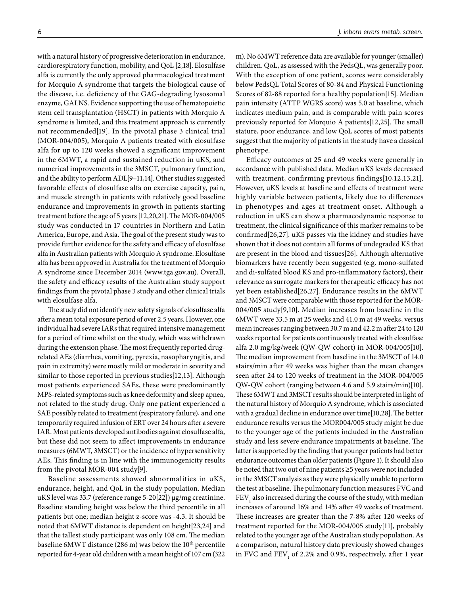with a natural history of progressive deterioration in endurance, cardiorespiratory function, mobility, and QoL [\[2,](#page-7-1)[18](#page-8-5)]. Elosulfase alfa is currently the only approved pharmacological treatment for Morquio A syndrome that targets the biological cause of the disease, i.e. deficiency of the GAG-degrading lysosomal enzyme, GALNS. Evidence supporting the use of hematopoietic stem cell transplantation (HSCT) in patients with Morquio A syndrome is limited, and this treatment approach is currently not recommended[\[19](#page-8-6)]. In the pivotal phase 3 clinical trial (MOR-004/005), Morquio A patients treated with elosulfase alfa for up to 120 weeks showed a significant improvement in the 6MWT, a rapid and sustained reduction in uKS, and numerical improvements in the 3MSCT, pulmonary function, and the ability to perform ADL[\[9](#page-7-8)[–11,](#page-7-10)[14](#page-8-1)]. Other studies suggested favorable effects of elosulfase alfa on exercise capacity, pain, and muscle strength in patients with relatively good baseline endurance and improvements in growth in patients starting treatment before the age of 5 years [\[12](#page-8-7),[20](#page-8-8),[21](#page-8-9)]. The MOR-004/005 study was conducted in 17 countries in Northern and Latin America, Europe, and Asia. The goal of the present study was to provide further evidence for the safety and efficacy of elosulfase alfa in Australian patients with Morquio A syndrome. Elosulfase alfa has been approved in Australia for the treatment of Morquio A syndrome since December 2014 [\(www.tga.gov.au](http://www.tga.gov.au)). Overall, the safety and efficacy results of the Australian study support findings from the pivotal phase 3 study and other clinical trials with elosulfase alfa.

The study did not identify new safety signals of elosulfase alfa after a mean total exposure period of over 2.5 years. However, one individual had severe IARs that required intensive management for a period of time whilst on the study, which was withdrawn during the extension phase. The most frequently reported drugrelated AEs (diarrhea, vomiting, pyrexia, nasopharyngitis, and pain in extremity) were mostly mild or moderate in severity and similar to those reported in previous studies[\[12](#page-8-7)[,13](#page-8-0)]. Although most patients experienced SAEs, these were predominantly MPS-related symptoms such as knee deformity and sleep apnea, not related to the study drug. Only one patient experienced a SAE possibly related to treatment (respiratory failure), and one temporarily required infusion of ERT over 24 hours after a severe IAR. Most patients developed antibodies against elosulfase alfa, but these did not seem to affect improvements in endurance measures (6MWT, 3MSCT) or the incidence of hypersensitivity AEs. This finding is in line with the immunogenicity results from the pivotal MOR-004 study[[9](#page-7-8)].

Baseline assessments showed abnormalities in uKS, endurance, height, and QoL in the study population. Median uKS level was 33.7 (reference range 5-20[\[22\]](#page-8-10)) µg/mg creatinine. Baseline standing height was below the third percentile in all patients but one; median height z-score was -4.3. It should be noted that 6MWT distance is dependent on height[\[23](#page-8-11),[24\]](#page-8-12) and that the tallest study participant was only 108 cm. The median baseline 6MWT distance (286 m) was below the 10<sup>th</sup> percentile reported for 4-year old children with a mean height of 107 cm (322 m). No 6MWT reference data are available for younger (smaller) children. QoL, as assessed with the PedsQL, was generally poor. With the exception of one patient, scores were considerably below PedsQL Total Scores of 80-84 and Physical Functioning Scores of 82-88 reported for a healthy population[\[15](#page-8-2)]. Median pain intensity (ATTP WGRS score) was 5.0 at baseline, which indicates medium pain, and is comparable with pain scores previously reported for Morquio A patients[\[12,](#page-8-7)[25\]](#page-8-13). The small stature, poor endurance, and low QoL scores of most patients suggest that the majority of patients in the study have a classical phenotype.

Efficacy outcomes at 25 and 49 weeks were generally in accordance with published data. Median uKS levels decreased with treatment, confirming previous findings[\[10](#page-7-9)[,12](#page-8-7),[13](#page-8-0),[21\]](#page-8-9). However, uKS levels at baseline and effects of treatment were highly variable between patients, likely due to differences in phenotypes and ages at treatment onset. Although a reduction in uKS can show a pharmacodynamic response to treatment, the clinical significance of this marker remains to be confirmed[\[26](#page-8-14),[27\]](#page-8-15). uKS passes via the kidney and studies have shown that it does not contain all forms of undegraded KS that are present in the blood and tissues[\[26\]](#page-8-14). Although alternative biomarkers have recently been suggested (e.g. mono-sulfated and di-sulfated blood KS and pro-inflammatory factors), their relevance as surrogate markers for therapeutic efficacy has not yet been established[\[26](#page-8-14),[27\]](#page-8-15). Endurance results in the 6MWT and 3MSCT were comparable with those reported for the MOR-004/005 study[\[9,](#page-7-8)[10](#page-7-9)]. Median increases from baseline in the 6MWT were 33.5 m at 25 weeks and 41.0 m at 49 weeks, versus mean increases ranging between 30.7 m and 42.2 m after 24 to 120 weeks reported for patients continuously treated with elosulfase alfa 2.0 mg/kg/week (QW-QW cohort) in MOR-004/005[\[10](#page-7-9)]. The median improvement from baseline in the 3MSCT of 14.0 stairs/min after 49 weeks was higher than the mean changes seen after 24 to 120 weeks of treatment in the MOR-004/005 QW-QW cohort (ranging between 4.6 and 5.9 stairs/min)[\[10](#page-7-9)]. These 6MWT and 3MSCT results should be interpreted in light of the natural history of Morquio A syndrome, which is associated with a gradual decline in endurance over time[\[10](#page-7-9),[28\]](#page-8-16). The better endurance results versus the MOR004/005 study might be due to the younger age of the patients included in the Australian study and less severe endurance impairments at baseline. The latter is supported by the finding that younger patients had better endurance outcomes than older patients (Figure 1). It should also be noted that two out of nine patients ≥5 years were not included in the 3MSCT analysis as they were physically unable to perform the test at baseline. The pulmonary function measures FVC and  ${\rm FEV}_1$  also increased during the course of the study, with median increases of around 16% and 14% after 49 weeks of treatment. These increases are greater than the 7-8% after 120 weeks of treatment reported for the MOR-004/005 study[\[11\]](#page-7-10), probably related to the younger age of the Australian study population. As a comparison, natural history data previously showed changes in FVC and  $\rm FEV_{_1}$  of 2.2% and 0.9%, respectively, after 1 year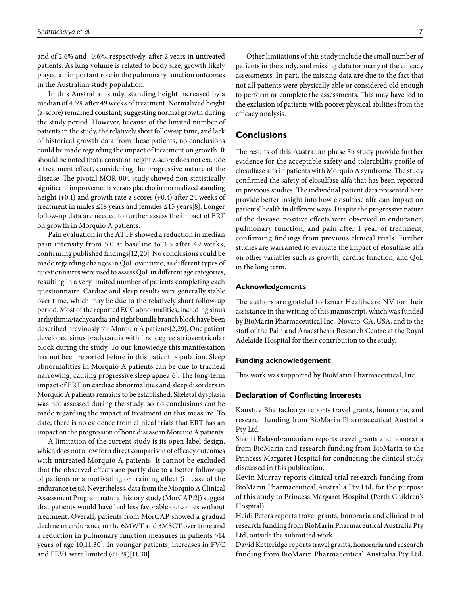and of 2.6% and -0.6%, respectively, after 2 years in untreated patients. As lung volume is related to body size, growth likely played an important role in the pulmonary function outcomes in the Australian study population.

In this Australian study, standing height increased by a median of 4.5% after 49 weeks of treatment. Normalized height (z-score) remained constant, suggesting normal growth during the study period. However, because of the limited number of patients in the study, the relatively short follow-up time, and lack of historical growth data from these patients, no conclusions could be made regarding the impact of treatment on growth. It should be noted that a constant height z-score does not exclude a treatment effect, considering the progressive nature of the disease. The pivotal MOR-004 study showed non-statistically significant improvements versus placebo in normalized standing height (+0.1) and growth rate z-scores (+0.4) after 24 weeks of treatment in males ≤18 years and females ≤15 years[\[8\]](#page-7-7). Longer follow-up data are needed to further assess the impact of ERT on growth in Morquio A patients.

Pain evaluation in the ATTP showed a reduction in median pain intensity from 5.0 at baseline to 3.5 after 49 weeks, confirming published findings[\[12](#page-8-7),[20](#page-8-8)]. No conclusions could be made regarding changes in QoL over time, as different types of questionnaires were used to assess QoL in different age categories, resulting in a very limited number of patients completing each questionnaire. Cardiac and sleep results were generally stable over time, which may be due to the relatively short follow-up period. Most of the reported ECG abnormalities, including sinus arrhythmia/tachycardia and right bundle branch block have been described previously for Morquio A patients[\[2](#page-7-1),[29\]](#page-8-17). One patient developed sinus bradycardia with first degree atrioventricular block during the study. To our knowledge this manifestation has not been reported before in this patient population. Sleep abnormalities in Morquio A patients can be due to tracheal narrowing, causing progressive sleep apnea[[6](#page-7-5)]. The long-term impact of ERT on cardiac abnormalities and sleep disorders in Morquio A patients remains to be established. Skeletal dysplasia was not assessed during the study, so no conclusions can be made regarding the impact of treatment on this measure. To date, there is no evidence from clinical trials that ERT has an impact on the progression of bone disease in Morquio A patients.

A limitation of the current study is its open-label design, which does not allow for a direct comparison of efficacy outcomes with untreated Morquio A patients. It cannot be excluded that the observed effects are partly due to a better follow-up of patients or a motivating or training effect (in case of the endurance tests). Nevertheless, data from the Morquio A Clinical Assessment Program natural history study (MorCAP[\[2](#page-7-1)]) suggest that patients would have had less favorable outcomes without treatment. Overall, patients from MorCAP showed a gradual decline in endurance in the 6MWT and 3MSCT over time and a reduction in pulmonary function measures in patients >14 years of age[\[10](#page-7-9)[,11](#page-7-10),[30\]](#page-8-18). In younger patients, increases in FVC and FEV1 were limited (<10%)[\[11,](#page-7-10)[30\]](#page-8-18).

Other limitations of this study include the small number of patients in the study, and missing data for many of the efficacy assessments. In part, the missing data are due to the fact that not all patients were physically able or considered old enough to perform or complete the assessments. This may have led to the exclusion of patients with poorer physical abilities from the efficacy analysis.

# **Conclusions**

The results of this Australian phase 3b study provide further evidence for the acceptable safety and tolerability profile of elosulfase alfa in patients with Morquio A syndrome. The study confirmed the safety of elosulfase alfa that has been reported in previous studies. The individual patient data presented here provide better insight into how elosulfase alfa can impact on patients' health in different ways. Despite the progressive nature of the disease, positive effects were observed in endurance, pulmonary function, and pain after 1 year of treatment, confirming findings from previous clinical trials. Further studies are warranted to evaluate the impact of elosulfase alfa on other variables such as growth, cardiac function, and QoL in the long term.

#### **Acknowledgements**

The authors are grateful to Ismar Healthcare NV for their assistance in the writing of this manuscript, which was funded by BioMarin Pharmaceutical Inc., Novato, CA, USA, and to the staff of the Pain and Anaesthesia Research Centre at the Royal Adelaide Hospital for their contribution to the study.

#### **Funding acknowledgement**

This work was supported by BioMarin Pharmaceutical, Inc.

#### **Declaration of Conflicting Interests**

Kaustuv Bhattacharya reports travel grants, honoraria, and research funding from BioMarin Pharmaceutical Australia Pty Ltd.

Shanti Balasubramaniam reports travel grants and honoraria from BioMarin and research funding from BioMarin to the Princess Margaret Hospital for conducting the clinical study discussed in this publication.

Kevin Murray reports clinical trial research funding from BioMarin Pharmaceutical Australia Pty Ltd, for the purpose of this study to Princess Margaret Hospital (Perth Children's Hospital).

Heidi Peters reports travel grants, honoraria and clinical trial research funding from BioMarin Pharmaceutical Australia Pty Ltd, outside the submitted work.

David Ketteridge reports travel grants, honoraria and research funding from BioMarin Pharmaceutical Australia Pty Ltd,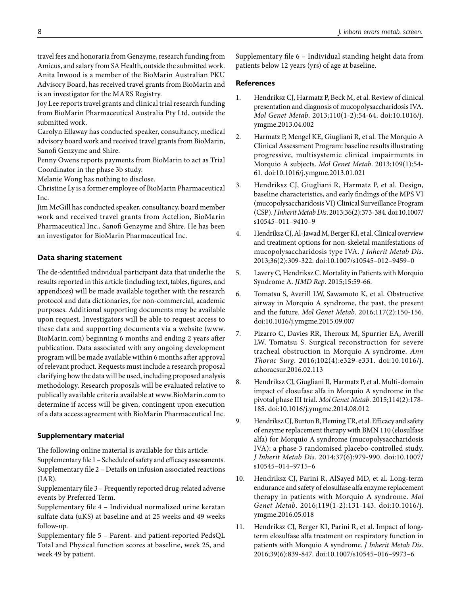travel fees and honoraria from Genzyme, research funding from Amicus, and salary from SA Health, outside the submitted work. Anita Inwood is a member of the BioMarin Australian PKU Advisory Board, has received travel grants from BioMarin and is an investigator for the MARS Registry.

Joy Lee reports travel grants and clinical trial research funding from BioMarin Pharmaceutical Australia Pty Ltd, outside the submitted work.

Carolyn Ellaway has conducted speaker, consultancy, medical advisory board work and received travel grants from BioMarin, Sanofi Genzyme and Shire.

Penny Owens reports payments from BioMarin to act as Trial Coordinator in the phase 3b study.

Melanie Wong has nothing to disclose.

Christine Ly is a former employee of BioMarin Pharmaceutical Inc.

Jim McGill has conducted speaker, consultancy, board member work and received travel grants from Actelion, BioMarin Pharmaceutical Inc., Sanofi Genzyme and Shire. He has been an investigator for BioMarin Pharmaceutical Inc.

# **Data sharing statement**

The de-identified individual participant data that underlie the results reported in this article (including text, tables, figures, and appendices) will be made available together with the research protocol and data dictionaries, for non-commercial, academic purposes. Additional supporting documents may be available upon request. Investigators will be able to request access to these data and supporting documents via a website [\(www.](http://www.BioMarin.com) [BioMarin.com](http://www.BioMarin.com)) beginning 6 months and ending 2 years after publication. Data associated with any ongoing development program will be made available within 6 months after approval of relevant product. Requests must include a research proposal clarifying how the data will be used, including proposed analysis methodology. Research proposals will be evaluated relative to publically available criteria available at [www.BioMarin.com](http://www.BioMarin.com) to determine if access will be given, contingent upon execution of a data access agreement with BioMarin Pharmaceutical Inc.

# **Supplementary material**

The following online material is available for this article: [Supplementary file 1 –](http://www.scielo.br/pdf/jiems/v8/2326-4594-jiems-8-e20200001-s1.pdf) Schedule of safety and efficacy assessments. [Supplementary file 2](http://www.scielo.br/pdf/jiems/v8/2326-4594-jiems-8-e20200001-s2.pdf) – Details on infusion associated reactions (IAR).

[Supplementary file 3 –](http://www.scielo.br/pdf/jiems/v8/2326-4594-jiems-8-e20200001-s3.pdf) Frequently reported drug-related adverse events by Preferred Term.

[Supplementary file 4 –](http://www.scielo.br/pdf/jiems/v8/2326-4594-jiems-8-e20200001-s4.pdf) Individual normalized urine keratan sulfate data (uKS) at baseline and at 25 weeks and 49 weeks follow-up.

[Supplementary file 5 –](http://www.scielo.br/pdf/jiems/v8/2326-4594-jiems-8-e20200001-s5.pdf) Parent- and patient-reported PedsQL Total and Physical function scores at baseline, week 25, and week 49 by patient.

[Supplementary file 6 –](http://www.scielo.br/pdf/jiems/v8/2326-4594-jiems-8-e20200001-s6.pdf) Individual standing height data from patients below 12 years (yrs) of age at baseline.

## **References**

- <span id="page-7-0"></span>1. Hendriksz CJ, Harmatz P, Beck M, et al. Review of clinical presentation and diagnosis of mucopolysaccharidosis IVA. *Mol Genet Metab*. 2013;110(1-2):54-64. doi:[10.1016/j.](https://dx.doi.org/10.1016/j.ymgme.2013.04.002) [ymgme.2013.04.002](https://dx.doi.org/10.1016/j.ymgme.2013.04.002)
- <span id="page-7-1"></span>2. Harmatz P, Mengel KE, Giugliani R, et al. The Morquio A Clinical Assessment Program: baseline results illustrating progressive, multisystemic clinical impairments in Morquio A subjects. *Mol Genet Metab*. 2013;109(1):54- 61. doi:[10.1016/j.ymgme.2013.01.021](https://dx.doi.org/10.1016/j.ymgme.2013.01.021)
- <span id="page-7-2"></span>3. Hendriksz CJ, Giugliani R, Harmatz P, et al. Design, baseline characteristics, and early findings of the MPS VI (mucopolysaccharidosis VI) Clinical Surveillance Program (CSP). *J Inherit Metab Dis*. 2013;36(2):373-384. doi:[10.1007/](https://dx.doi.org/10.1007/s10545-011-9410-9) [s10545–011–9410–9](https://dx.doi.org/10.1007/s10545-011-9410-9)
- <span id="page-7-3"></span>4. Hendriksz CJ, Al-Jawad M, Berger KI, et al. Clinical overview and treatment options for non-skeletal manifestations of mucopolysaccharidosis type IVA. *J Inherit Metab Dis*. 2013;36(2):309-322. doi:[10.1007/s10545–012–9459–0](https://dx.doi.org/10.1007/s10545-012-9459-0)
- <span id="page-7-4"></span>5. Lavery C, Hendriksz C. Mortality in Patients with Morquio Syndrome A. *JIMD Rep*. 2015;15:59-66.
- <span id="page-7-5"></span>6. Tomatsu S, Averill LW, Sawamoto K, et al. Obstructive airway in Morquio A syndrome, the past, the present and the future. *Mol Genet Metab*. 2016;117(2):150-156. doi:[10.1016/j.ymgme.2015.09.007](https://dx.doi.org/10.1016/j.ymgme.2015.09.007)
- <span id="page-7-6"></span>7. Pizarro C, Davies RR, Theroux M, Spurrier EA, Averill LW, Tomatsu S. Surgical reconstruction for severe tracheal obstruction in Morquio A syndrome. *Ann Thorac Surg*. 2016;102(4):e329-e331. doi:[10.1016/j.](https://dx.doi.org/10.1016/j.athoracsur.2016.02.113) [athoracsur.2016.02.113](https://dx.doi.org/10.1016/j.athoracsur.2016.02.113)
- <span id="page-7-7"></span>8. Hendriksz CJ, Giugliani R, Harmatz P, et al. Multi-domain impact of elosufase alfa in Morquio A syndrome in the pivotal phase III trial. *Mol Genet Metab*. 2015;114(2):178- 185. doi[:10.1016/j.ymgme.2014.08.012](https://dx.doi.org/10.1016/j.ymgme.2014.08.012)
- <span id="page-7-8"></span>9. Hendriksz CJ, Burton B, Fleming TR, et al. Efficacy and safety of enzyme replacement therapy with BMN 110 (elosulfase alfa) for Morquio A syndrome (mucopolysaccharidosis IVA): a phase 3 randomised placebo-controlled study. *J Inherit Metab Dis*. 2014;37(6):979-990. doi:[10.1007/](https://dx.doi.org/10.1007/s10545-014-9715-6) [s10545–014–9715–6](https://dx.doi.org/10.1007/s10545-014-9715-6)
- <span id="page-7-9"></span>10. Hendriksz CJ, Parini R, AlSayed MD, et al. Long-term endurance and safety of elosulfase alfa enzyme replacement therapy in patients with Morquio A syndrome. *Mol Genet Metab*. 2016;119(1-2):131-143. doi:[10.1016/j.](https://dx.doi.org/10.1016/j.ymgme.2016.05.018) [ymgme.2016.05.018](https://dx.doi.org/10.1016/j.ymgme.2016.05.018)
- <span id="page-7-10"></span>11. Hendriksz CJ, Berger KI, Parini R, et al. Impact of longterm elosulfase alfa treatment on respiratory function in patients with Morquio A syndrome. *J Inherit Metab Dis*. 2016;39(6):839-847. doi:[10.1007/s10545–016–9973–6](https://dx.doi.org/10.1007/s10545-016-9973-6)